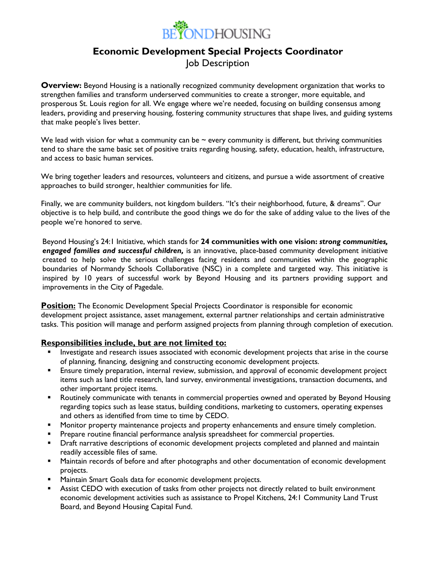

# **Economic Development Special Projects Coordinator**

Job Description

**Overview:** Beyond Housing is a nationally recognized community development organization that works to strengthen families and transform underserved communities to create a stronger, more equitable, and prosperous St. Louis region for all. We engage where we're needed, focusing on building consensus among leaders, providing and preserving housing, fostering community structures that shape lives, and guiding systems that make people's lives better.

We lead with vision for what a community can be  $\sim$  every community is different, but thriving communities tend to share the same basic set of positive traits regarding housing, safety, education, health, infrastructure, and access to basic human services.

We bring together leaders and resources, volunteers and citizens, and pursue a wide assortment of creative approaches to build stronger, healthier communities for life.

Finally, we are community builders, not kingdom builders. "It's their neighborhood, future, & dreams". Our objective is to help build, and contribute the good things we do for the sake of adding value to the lives of the people we're honored to serve.

Beyond Housing's 24:1 Initiative, which stands for **24 communities with one vision:** *strong communities, engaged families and successful children,* is an innovative, place-based community development initiative created to help solve the serious challenges facing residents and communities within the geographic boundaries of Normandy Schools Collaborative (NSC) in a complete and targeted way. This initiative is inspired by 10 years of successful work by Beyond Housing and its partners providing support and improvements in the City of Pagedale.

**Position:** The Economic Development Special Projects Coordinator is responsible for economic development project assistance, asset management, external partner relationships and certain administrative tasks. This position will manage and perform assigned projects from planning through completion of execution.

#### **Responsibilities include, but are not limited to:**

- Investigate and research issues associated with economic development projects that arise in the course of planning, financing, designing and constructing economic development projects.
- **Ensure timely preparation, internal review, submission, and approval of economic development project** items such as land title research, land survey, environmental investigations, transaction documents, and other important project items.
- Routinely communicate with tenants in commercial properties owned and operated by Beyond Housing regarding topics such as lease status, building conditions, marketing to customers, operating expenses and others as identified from time to time by CEDO.
- Monitor property maintenance projects and property enhancements and ensure timely completion.
- **•** Prepare routine financial performance analysis spreadsheet for commercial properties.
- **Draft narrative descriptions of economic development projects completed and planned and maintain** readily accessible files of same.
- Maintain records of before and after photographs and other documentation of economic development projects.
- Maintain Smart Goals data for economic development projects.
- Assist CEDO with execution of tasks from other projects not directly related to built environment economic development activities such as assistance to Propel Kitchens, 24:1 Community Land Trust Board, and Beyond Housing Capital Fund.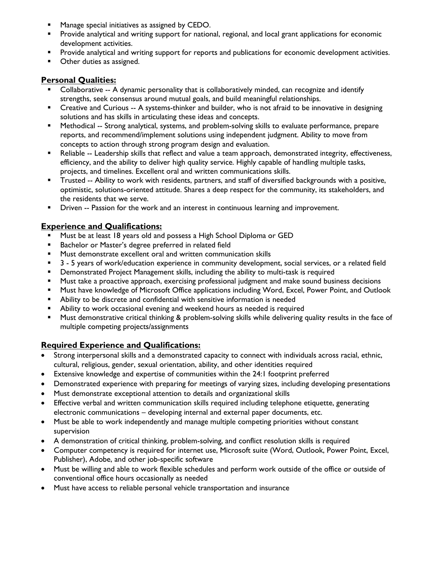- Manage special initiatives as assigned by CEDO.
- **•** Provide analytical and writing support for national, regional, and local grant applications for economic development activities.
- **•** Provide analytical and writing support for reports and publications for economic development activities.
- Other duties as assigned.

## **Personal Qualities:**

- Collaborative -- A dynamic personality that is collaboratively minded, can recognize and identify strengths, seek consensus around mutual goals, and build meaningful relationships.
- Creative and Curious -- A systems-thinker and builder, who is not afraid to be innovative in designing solutions and has skills in articulating these ideas and concepts.
- **■** Methodical -- Strong analytical, systems, and problem-solving skills to evaluate performance, prepare reports, and recommend/implement solutions using independent judgment. Ability to move from concepts to action through strong program design and evaluation.
- **EXECT A** Reliable -- Leadership skills that reflect and value a team approach, demonstrated integrity, effectiveness, efficiency, and the ability to deliver high quality service. Highly capable of handling multiple tasks, projects, and timelines. Excellent oral and written communications skills.
- Trusted -- Ability to work with residents, partners, and staff of diversified backgrounds with a positive, optimistic, solutions-oriented attitude. Shares a deep respect for the community, its stakeholders, and the residents that we serve.
- **•** Driven -- Passion for the work and an interest in continuous learning and improvement.

## **Experience and Qualifications:**

- **■** Must be at least 18 years old and possess a High School Diploma or GED
- Bachelor or Master's degree preferred in related field
- Must demonstrate excellent oral and written communication skills
- 3 5 years of work/education experience in community development, social services, or a related field
- Demonstrated Project Management skills, including the ability to multi-task is required
- **■** Must take a proactive approach, exercising professional judgment and make sound business decisions
- Must have knowledge of Microsoft Office applications including Word, Excel, Power Point, and Outlook
- Ability to be discrete and confidential with sensitive information is needed
- Ability to work occasional evening and weekend hours as needed is required
- Must demonstrative critical thinking & problem-solving skills while delivering quality results in the face of multiple competing projects/assignments

# **Required Experience and Qualifications:**

- Strong interpersonal skills and a demonstrated capacity to connect with individuals across racial, ethnic, cultural, religious, gender, sexual orientation, ability, and other identities required
- Extensive knowledge and expertise of communities within the 24:1 footprint preferred
- Demonstrated experience with preparing for meetings of varying sizes, including developing presentations
- Must demonstrate exceptional attention to details and organizational skills
- Effective verbal and written communication skills required including telephone etiquette, generating electronic communications – developing internal and external paper documents, etc.
- Must be able to work independently and manage multiple competing priorities without constant supervision
- A demonstration of critical thinking, problem-solving, and conflict resolution skills is required
- Computer competency is required for internet use, Microsoft suite (Word, Outlook, Power Point, Excel, Publisher), Adobe, and other job-specific software
- Must be willing and able to work flexible schedules and perform work outside of the office or outside of conventional office hours occasionally as needed
- Must have access to reliable personal vehicle transportation and insurance